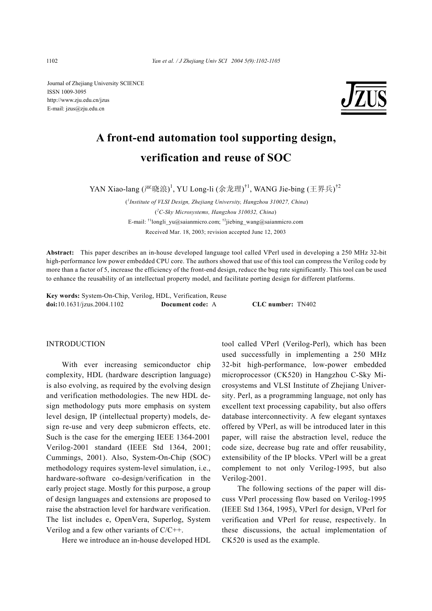Journal of Zhejiang University SCIENCE ISSN 1009-3095 http://www.zju.edu.cn/jzus E-mail: jzus@zju.edu.cn



# **A front-end automation tool supporting design, verification and reuse of SOC**

YAN Xiao-lang (严晓浪)<sup>1</sup>, YU Long-li (余龙理)<sup>†1</sup>, WANG Jie-bing (王界兵)<sup>†2</sup>

 (*1 Institute of VLSI Design, Zhejiang University, Hangzhou 310027, China*) ( *2 C-Sky Microsystems, Hangzhou 310032, China*) E-mail: †1longli\_yu@saianmicro.com; †2jiebing\_wang@saianmicro.com Received Mar. 18, 2003; revision accepted June 12, 2003

**Abstract:** This paper describes an in-house developed language tool called VPerl used in developing a 250 MHz 32-bit high-performance low power embedded CPU core. The authors showed that use of this tool can compress the Verilog code by more than a factor of 5, increase the efficiency of the front-end design, reduce the bug rate significantly. This tool can be used to enhance the reusability of an intellectual property model, and facilitate porting design for different platforms.

**Key words:** System-On-Chip, Verilog, HDL, Verification, Reuse **doi:**10.1631/jzus.2004.1102 **Document code:** A **CLC number:** TN402

#### INTRODUCTION

With ever increasing semiconductor chip complexity, HDL (hardware description language) is also evolving, as required by the evolving design and verification methodologies. The new HDL design methodology puts more emphasis on system level design, IP (intellectual property) models, design re-use and very deep submicron effects, etc. Such is the case for the emerging IEEE 1364-2001 Verilog-2001 standard (IEEE Std 1364, 2001; Cummings, 2001). Also, System-On-Chip (SOC) methodology requires system-level simulation, i.e., hardware-software co-design/verification in the early project stage. Mostly for this purpose, a group of design languages and extensions are proposed to raise the abstraction level for hardware verification. The list includes e, OpenVera, Superlog, System Verilog and a few other variants of C/C++.

Here we introduce an in-house developed HDL

tool called VPerl (Verilog-Perl), which has been used successfully in implementing a 250 MHz 32-bit high-performance, low-power embedded microprocessor (CK520) in Hangzhou C-Sky Microsystems and VLSI Institute of Zhejiang University. Perl, as a programming language, not only has excellent text processing capability, but also offers database interconnectivity. A few elegant syntaxes offered by VPerl, as will be introduced later in this paper, will raise the abstraction level, reduce the code size, decrease bug rate and offer reusability, extensibility of the IP blocks. VPerl will be a great complement to not only Verilog-1995, but also Verilog-2001.

The following sections of the paper will discuss VPerl processing flow based on Verilog-1995 (IEEE Std 1364, 1995), VPerl for design, VPerl for verification and VPerl for reuse, respectively. In these discussions, the actual implementation of CK520 is used as the example.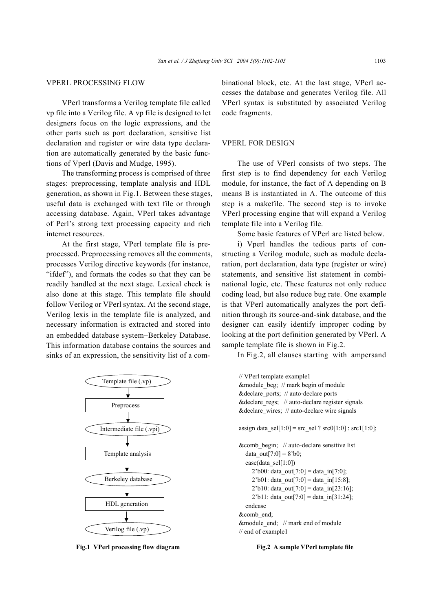# VPERL PROCESSING FLOW

VPerl transforms a Verilog template file called vp file into a Verilog file. A vp file is designed to let designers focus on the logic expressions, and the other parts such as port declaration, sensitive list declaration and register or wire data type declaration are automatically generated by the basic functions of Vperl (Davis and Mudge, 1995).

The transforming process is comprised of three stages: preprocessing, template analysis and HDL generation, as shown in Fig.1. Between these stages, useful data is exchanged with text file or through accessing database. Again, VPerl takes advantage of Perl's strong text processing capacity and rich internet resources.

At the first stage, VPerl template file is preprocessed. Preprocessing removes all the comments, processes Verilog directive keywords (for instance, "ifdef"), and formats the codes so that they can be readily handled at the next stage. Lexical check is also done at this stage. This template file should follow Verilog or VPerl syntax. At the second stage, Verilog lexis in the template file is analyzed, and necessary information is extracted and stored into an embedded database system−Berkeley Database. This information database contains the sources and sinks of an expression, the sensitivity list of a com-



**Fig.1** VPerl processing flow diagram Fig.2 A sample VPerl template file

binational block, etc. At the last stage, VPerl accesses the database and generates Verilog file. All VPerl syntax is substituted by associated Verilog code fragments.

### VPERL FOR DESIGN

The use of VPerl consists of two steps. The first step is to find dependency for each Verilog module, for instance, the fact of A depending on B means B is instantiated in A. The outcome of this step is a makefile. The second step is to invoke VPerl processing engine that will expand a Verilog template file into a Verilog file.

Some basic features of VPerl are listed below.

i) Vperl handles the tedious parts of constructing a Verilog module, such as module declaration, port declaration, data type (register or wire) statements, and sensitive list statement in combinational logic, etc. These features not only reduce coding load, but also reduce bug rate. One example is that VPerl automatically analyzes the port definition through its source-and-sink database, and the designer can easily identify improper coding by looking at the port definition generated by VPerl. A sample template file is shown in Fig.2.

In Fig.2, all clauses starting with ampersand

```
// VPerl template example1 
&module_beg; // mark begin of module 
&declare_ports; // auto-declare ports 
& declare regs; \frac{1}{2} auto-declare register signals
&declare_wires; // auto-declare wire signals 
assign data \text{sel}[1:0] = \text{src} \text{sel} ? \text{src0}[1:0] : \text{src1}[1:0];
&comb_begin; // auto-declare sensitive list 
  data out[7:0] = 8^{\circ}b0;case(data_sel[1:0])
     2'b00: data_out[7:0] = data_in[7:0];
     2'b01: data_out[7:0] = data_in[15:8];
     2'b10: data_out[7:0] = data_in[23:16];
     2'b11: data_out[7:0] = data_in[31:24];
  endcase 
&comb_end; 
&module_end; // mark end of module 
// end of example1
```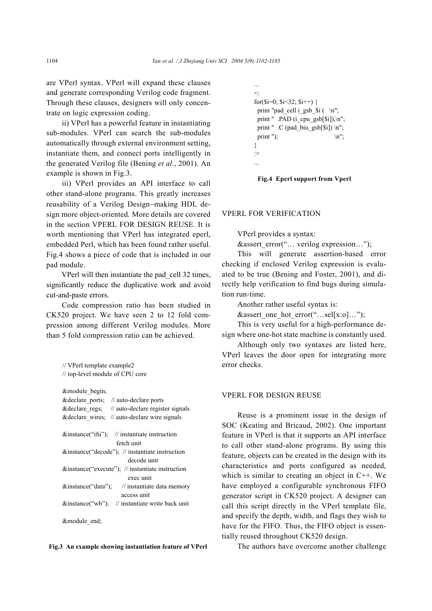are VPerl syntax. VPerl will expand these clauses and generate corresponding Verilog code fragment. Through these clauses, designers will only concentrate on logic expression coding.

ii) VPerl has a powerful feature in instantiating sub-modules. VPerl can search the sub-modules automatically through external environment setting, instantiate them, and connect ports intelligently in the generated Verilog file (Bening *et al.*, 2001). An example is shown in Fig.3.

iii) VPerl provides an API interface to call other stand-alone programs. This greatly increases reusability of a Verilog Design−making HDL design more object-oriented. More details are covered in the section VPERL FOR DESIGN REUSE*.* It is worth mentioning that VPerl has integrated eperl, embedded Perl, which has been found rather useful. Fig.4 shows a piece of code that is included in our pad module.

VPerl will then instantiate the pad\_cell 32 times, significantly reduce the duplicative work and avoid cut-and-paste errors.

Code compression ratio has been studied in CK520 project. We have seen 2 to 12 fold compression among different Verilog modules. More than 5 fold compression ratio can be achieved.

// VPerl template example2 // top-level module of CPU core

| &module begin;                                       |
|------------------------------------------------------|
| & declare ports; // auto-declare ports               |
| & declare regs; // auto-declare register signals     |
| & declare wires; // auto-declare wire signals        |
| &instance("ifu"); // instantiate instruction         |
| fetch unit                                           |
| $\&$ instance("decode"); // instantiate instruction  |
| decode unit                                          |
| $\&$ instance("execute"); // instantiate instruction |
| exec unit                                            |
| $\&$ instance("data"); // instantiate data memory    |
| access unit                                          |
| $\&$ instance("wb"); // instantiate write back unit  |
| &module end;                                         |

```
Fig.3 An example showing instantiation feature of VPerl
```

```
... 
\langle \cdotfor(\sin=0; \sin<32; \sin++) {
 print "pad_cell i_gsb_$i (\infty";
 print " .PAD (i_cpu_gsb[$i]),\n";
 print " \cdot C (pad biu gsb[$i]) \n";
 print "); \ln";
} 
:> 
...
```
**Fig.4 Eperl support from Vperl** 

### VPERL FOR VERIFICATION

VPerl provides a syntax:

&assert\_error("… verilog expression…");

This will generate assertion-based error checking if enclosed Verilog expression is evaluated to be true (Bening and Foster, 2001), and directly help verification to find bugs during simulation run-time.

Another rather useful syntax is:

&assert one hot error("...sel[x:o]...");

This is very useful for a high-performance design where one-hot state machine is constantly used.

Although only two syntaxes are listed here, VPerl leaves the door open for integrating more error checks.

#### VPERL FOR DESIGN REUSE

Reuse is a prominent issue in the design of SOC (Keating and Bricaud, 2002). One important feature in VPerl is that it supports an API interface to call other stand-alone programs. By using this feature, objects can be created in the design with its characteristics and ports configured as needed, which is similar to creating an object in C++. We have employed a configurable synchronous FIFO generator script in CK520 project. A designer can call this script directly in the VPerl template file, and specify the depth, width, and flags they wish to have for the FIFO. Thus, the FIFO object is essentially reused throughout CK520 design.

The authors have overcome another challenge